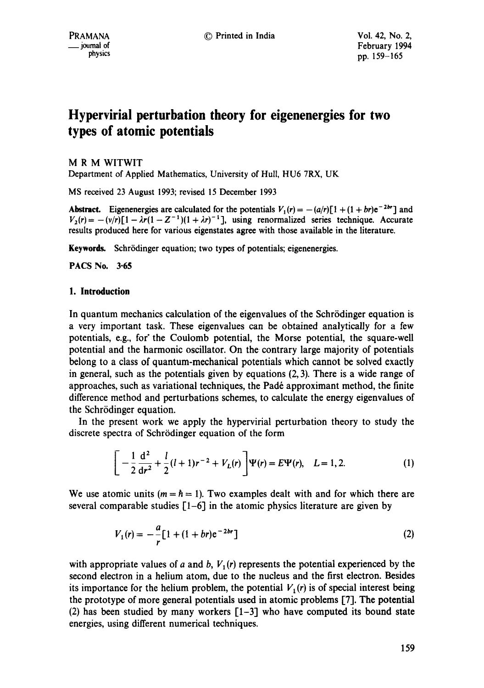# **Hypervirial perturbation theory for eigenenergies for two types of atomic potentials**

M R M WITWIT Department of Applied Mathematics, University of Hull, HU6 7RX, UK

MS received 23 August 1993; revised 15 December 1993

Abstract. Eigenenergies are calculated for the potentials  $V_1(r) = -(a/r)[1 + (1 + br)e^{-2br}]$  and  $V_2(r) = -\frac{v}{r} \left[1 - \lambda r (1 - Z^{-1})(1 + \lambda r)^{-1}\right]$ , using renormalized series technique. Accurate results produced here for various eigenstates agree with those available in the literature.

Keywords. Schrödinger equation; two types of potentials; eigenenergies.

PACS No. 3.65

# **1. Introduction**

In quantum mechanics calculation of the eigenvalues of the Schrödinger equation is a very important task. These eigenvalues can be obtained analytically for a few potentials, e.g., for" the Coulomb potential, the Morse potential, the square-well potential and the harmonic oscillator. On the contrary large majority of potentials belong to a class of quantum-mechanical potentials which cannot be solved exactly in general, such as the potentials given by equations (2, 3). There is a wide range of approaches, such as variational techniques, the Padé approximant method, the finite difference method and perturbations schemes, to calculate the energy eigenvalues of the Schrödinger equation.

In the present work we apply the hypervirial perturbation theory to study the discrete spectra of Schrödinger equation of the form

$$
\left[-\frac{1}{2}\frac{d^2}{dr^2} + \frac{l}{2}(l+1)r^{-2} + V_L(r)\right]\Psi(r) = E\Psi(r), \quad L = 1, 2.
$$
 (1)

We use atomic units ( $m = \hbar = 1$ ). Two examples dealt with and for which there are several comparable studies  $[1-6]$  in the atomic physics literature are given by

$$
V_1(r) = -\frac{a}{r} \left[ 1 + (1+br)e^{-2br} \right]
$$
 (2)

with appropriate values of a and b,  $V_1(r)$  represents the potential experienced by the second electron in a helium atom, due to the nucleus and the first electron. Besides its importance for the helium problem, the potential  $V_1(r)$  is of special interest being the prototype of more general potentials used in atomic problems [7]. The potential (2) has been studied by many workers [1-3] who have computed its bound state energies, using different numerical techniques.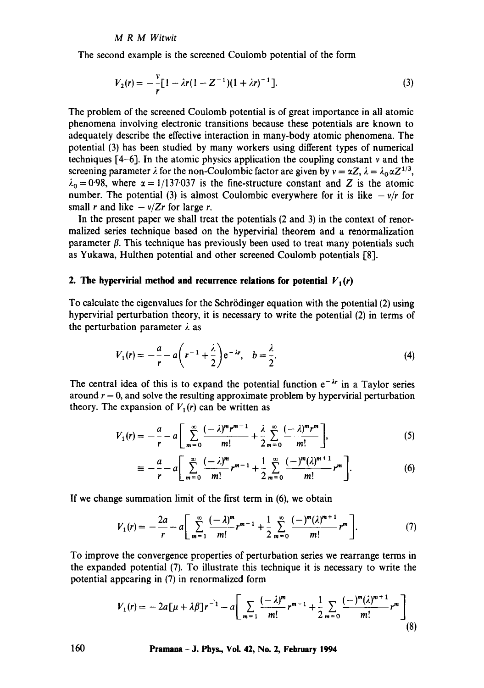#### *M R M Witwit*

The second example is the screened Coulomb potential of the form

$$
V_2(r) = -\frac{v}{r} \left[ 1 - \lambda r (1 - Z^{-1}) (1 + \lambda r)^{-1} \right].
$$
 (3)

The problem of the screened Coulomb potential is of great importance in all atomic phenomena involving electronic transitions because these potentials are known to adequately describe the effective interaction in many-body atomic phenomena. The potential (3) has been studied by many workers using different types of numerical techniques  $[4-6]$ . In the atomic physics application the coupling constant v and the screening parameter  $\lambda$  for the non-Coulombic factor are given by  $v = \alpha Z$ ,  $\lambda = \lambda_0 \alpha Z^{1/3}$ ,  $\lambda_0 = 0.98$ , where  $\alpha = 1/137.037$  is the fine-structure constant and Z is the atomic number. The potential (3) is almost Coulombic everywhere for it is like  $-v/r$  for small r and like  $-v/Zr$  for large r.

In the present paper we shall treat the potentials (2 and 3) in the context of renormalized series technique based on the hypervirial theorem and a renormalization parameter  $\beta$ . This technique has previously been used to treat many potentials such as Yukawa, Hulthen potential and other screened Coulomb potentials [8].

## **2. The hypervirial method and recurrence relations for potential**  $V_1(r)$

To calculate the eigenvalues for the Schrödinger equation with the potential (2) using hypervirial perturbation theory, it is necessary to write the potential (2) in terms of the perturbation parameter  $\lambda$  as

$$
V_1(r) = -\frac{a}{r} - a\left(r^{-1} + \frac{\lambda}{2}\right)e^{-\lambda r}, \quad b = \frac{\lambda}{2}.
$$
 (4)

The central idea of this is to expand the potential function  $e^{-\lambda r}$  in a Taylor series around  $r = 0$ , and solve the resulting approximate problem by hypervirial perturbation theory. The expansion of  $V_1(r)$  can be written as

$$
V_1(r) = -\frac{a}{r} - a \left[ \sum_{m=0}^{\infty} \frac{(-\lambda)^m r^{m-1}}{m!} + \frac{\lambda}{2} \sum_{m=0}^{\infty} \frac{(-\lambda)^m r^m}{m!} \right],
$$
 (5)

$$
\equiv -\frac{a}{r} - a \left[ \sum_{m=0}^{\infty} \frac{(-\lambda)^m}{m!} r^{m-1} + \frac{1}{2} \sum_{m=0}^{\infty} \frac{(-)^m (\lambda)^{m+1}}{m!} r^m \right].
$$
 (6)

If we change summation limit of the first term in (6), we obtain

$$
V_1(r) = -\frac{2a}{r} - a \left[ \sum_{m=1}^{\infty} \frac{(-\lambda)^m}{m!} r^{m-1} + \frac{1}{2} \sum_{m=0}^{\infty} \frac{(-)^m (\lambda)^{m+1}}{m!} r^m \right].
$$
 (7)

To improve the convergence properties of perturbation series we rearrange terms in the expanded potential (7). To illustrate this technique it is necessary to write the potential appearing in (7) in renormalized form

$$
V_1(r) = -2a[\mu + \lambda \beta]r^{-1} - a\left[\sum_{m=1}^{\infty} \frac{(-\lambda)^m}{m!} r^{m-1} + \frac{1}{2} \sum_{m=0}^{\infty} \frac{(-)^m (\lambda)^{m+1}}{m!} r^m\right]
$$
(8)

**160 Pramana- J. Phys., Voi. 42, No. 2, February 1994**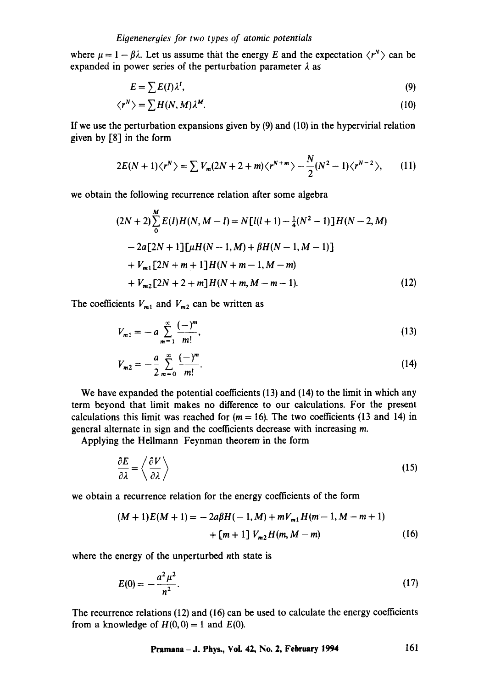where  $\mu = 1 - \beta \lambda$ . Let us assume that the energy E and the expectation  $\langle r^N \rangle$  can be expanded in power series of the perturbation parameter  $\lambda$  as

$$
E = \sum E(I) \lambda^I,\tag{9}
$$

$$
\langle r^N \rangle = \sum H(N, M) \lambda^M. \tag{10}
$$

If we use the perturbation expansions given by  $(9)$  and  $(10)$  in the hypervirial relation given by [8] in the form

$$
2E(N+1)\langle r^N\rangle = \sum V_m(2N+2+m)\langle r^{N+m}\rangle - \frac{N}{2}(N^2-1)\langle r^{N-2}\rangle, \qquad (11)
$$

we obtain the following recurrence relation after some algebra

$$
(2N+2)\sum_{0}^{M} E(I)H(N, M-I) = N[l(l+1) - \frac{1}{4}(N^{2} - 1)]H(N-2, M)
$$
  
-2a[2N+1][\mu H(N-1, M) + \beta H(N-1, M-1)]  
+V<sub>m1</sub>[2N+m+1]H(N+m-1, M-m)  
+V<sub>m2</sub>[2N+2+m]H(N+m, M-m-1). (12)

The coefficients  $V_{m1}$  and  $V_{m2}$  can be written as

$$
V_{m1} = -a \sum_{m=1}^{\infty} \frac{(-)^m}{m!},
$$
\n(13)

$$
V_{m2} = -\frac{a}{2} \sum_{m=0}^{\infty} \frac{(-)^m}{m!}.
$$
 (14)

We have expanded the potential coefficients (13) and (14) to the limit in which any term beyond that limit makes no difference to our calculations. For the present calculations this limit was reached for  $(m = 16)$ . The two coefficients (13 and 14) in general alternate in sign and the coefficients decrease with increasing m.

Applying the Hellmann=Feynman theorem in the form

$$
\frac{\partial E}{\partial \lambda} = \left\langle \frac{\partial V}{\partial \lambda} \right\rangle
$$
 (15)

we obtain a recurrence relation for the energy coefficients of the form

$$
(M+1)E(M+1) = -2a\beta H(-1, M) + mV_{m1}H(m-1, M-m+1)
$$

$$
+ [m+1]V_{m2}H(m, M-m)
$$
(16)

where the energy of the unperturbed nth state is

$$
E(0) = -\frac{a^2 \mu^2}{n^2}.
$$
 (17)

The recurrence relations (12) and (16) can be used to calculate the energy coefficients from a knowledge of  $H(0, 0) = 1$  and  $E(0)$ .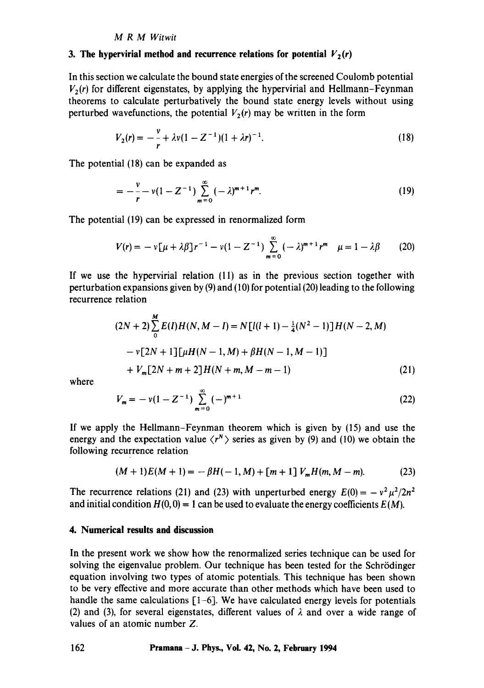#### *M R M Witwit*

#### 3. The hypervirial method and recurrence relations for potential  $V_2(r)$

In this section we calculate the bound state energies of the screened Coulomb potential  $V_2(r)$  for different eigenstates, by applying the hypervirial and Hellmann–Feynman theorems to calculate perturbatively the bound state energy levels without using perturbed wavefunctions, the potential  $V_2(r)$  may be written in the form

$$
V_2(r) = -\frac{v}{r} + \lambda v (1 - Z^{-1}) (1 + \lambda r)^{-1}.
$$
 (18)

The potential (18) can be expanded as

$$
= -\frac{v}{r} - v(1 - Z^{-1}) \sum_{m=0}^{\infty} (-\lambda)^{m+1} r^m.
$$
 (19)

The potential (19) can be expressed in renormalized form

$$
V(r) = -\nu \left[ \mu + \lambda \beta \right] r^{-1} - \nu (1 - Z^{-1}) \sum_{m=0}^{\infty} (-\lambda)^{m+1} r^m \quad \mu = 1 - \lambda \beta \tag{20}
$$

If we use the hypervirial relation (11) as in the previous section together with perturbation expansions given by (9) and (10) for potential (20) leading to the following recurrence relation

$$
(2N+2)\sum_{0}^{M} E(I)H(N, M-I) = N[l(l+1) - \frac{1}{4}(N^{2} - 1)]H(N-2, M)
$$
  
- v[2N+1][ $\mu$ H(N-1, M) +  $\beta$ H(N-1, M-1)]  
+  $V_{m}$ [2N+m+2]H(N+m, M-m-1) (21)

where

$$
V_m = -v(1 - Z^{-1}) \sum_{m=0}^{\infty} (-)^{m+1}
$$
 (22)

If we apply the Hellmann-Feynman theorem which is given by (15) and use the energy and the expectation value  $\langle r^N \rangle$  series as given by (9) and (10) we obtain the following recurrence relation

$$
(M+1)E(M+1) = -\beta H(-1,M) + [m+1]V_mH(m,M-m).
$$
 (23)

The recurrence relations (21) and (23) with unperturbed energy  $E(0) = -v^2 \mu^2 / 2n^2$ and initial condition  $H(0, 0) = 1$  can be used to evaluate the energy coefficients  $E(M)$ .

### **4. Numerical results and discussion**

In the present work we show how the renormalized series technique can be used for solving the eigenvalue problem. Our technique has been tested for the Schrödinger equation involving two types of atomic potentials. This technique has been shown to be very effective and more accurate than other methods which have been used to handle the same calculations  $[1-6]$ . We have calculated energy levels for potentials (2) and (3), for several eigenstates, different values of  $\lambda$  and over a wide range of values of an atomic number Z.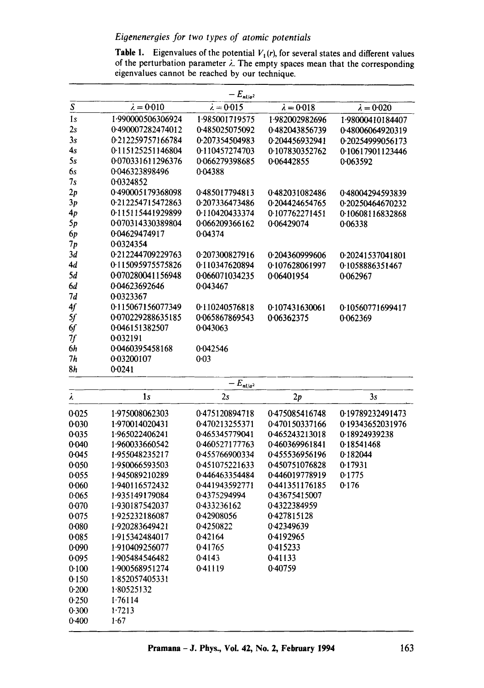# *Eigeneneroies for two types of atomic potentials*

**Table 1.** Eigenvalues of the potential  $V_1(r)$ , for several states and different values of the perturbation parameter  $\lambda$ . The empty spaces mean that the corresponding eigenvalues cannot be reached by our technique.

|                         |                   | $-\,E_{nl/a^2}$   |                   |                   |  |  |
|-------------------------|-------------------|-------------------|-------------------|-------------------|--|--|
| $\overline{\mathbf{S}}$ | $\lambda = 0.010$ | $\lambda = 0.015$ | $\lambda = 0.018$ | $\lambda = 0.020$ |  |  |
| 1s                      | 1.990000506306924 | 1.985001719575    | 1.982002982696    | 1.98000410184407  |  |  |
| 2s                      | 0.490007282474012 | 0.485025075092    | 0.482043856739    | 0.48006064920319  |  |  |
| 3s                      | 0.212259757166784 | 0.207354504983    | 0.204456932941    | 0.20254999056173  |  |  |
| 4s                      | 0.115125251146804 | 0.110457274703    | 0.107830352762    | 0.10617901123446  |  |  |
| 5s                      | 0.070331611296376 | 0.066279398685    | 0.06442855        | 0.063592          |  |  |
| бs                      | 0.046323898496    | 0.04388           |                   |                   |  |  |
| 7s                      | 0.0324852         |                   |                   |                   |  |  |
| 2p                      | 0.490005179368098 | 0.485017794813    | 0.482031082486    | 0.48004294593839  |  |  |
| 3p                      | 0.212254715472863 | 0.207336473486    | 0.204424654765    | 0.20250464670232  |  |  |
| 4p                      | 0.115115441929899 | 0.110420433374    | 0.107762271451    | 0.10608116832868  |  |  |
| 5p                      | 0.070314330389804 | 0.066209366162    | 0.06429074        | 0.06338           |  |  |
| 6p                      | 0.04629474917     | 0.04374           |                   |                   |  |  |
| 7р                      | 0.0324354         |                   |                   |                   |  |  |
| 3d                      | 0.212244709229763 | 0.207300827916    | 0.204360999606    | 0.20241537041801  |  |  |
| 4d                      | 0.115095975575826 | 0.110347620894    | 0.107628061997    | 0.1058886351467   |  |  |
| 5d                      | 0.070280041156948 | 0.066071034235    | 0.06401954        | 0.062967          |  |  |
| 6d                      | 0.04623692646     | 0.043467          |                   |                   |  |  |
| 7d                      | 0.0323367         |                   |                   |                   |  |  |
| 4f                      | 0.115067156077349 | 0.110240576818    | 0.107431630061    | 0.10560771699417  |  |  |
| 5f                      | 0.070229288635185 | 0.065867869543    | 0.06362375        | 0.062369          |  |  |
| 6f                      | 0.046151382507    | 0.043063          |                   |                   |  |  |
| 7f                      | 0.032191          |                   |                   |                   |  |  |
| 6h                      | 0.0460395458168   | 0.042546          |                   |                   |  |  |
| 7h                      | 0.03200107        | 0.03              |                   |                   |  |  |
| 8h                      | 0.0241            |                   |                   |                   |  |  |

| $-E_{nl/a^2}$   |                |                |                |                  |  |  |  |  |
|-----------------|----------------|----------------|----------------|------------------|--|--|--|--|
| $\pmb{\lambda}$ | 1 <sub>s</sub> | 2s             | 2p             | 3s               |  |  |  |  |
| 0.025           | 1.975008062303 | 0.475120894718 | 0.475085416748 | 0.19789232491473 |  |  |  |  |
| 0.030           | 1.970014020431 | 0.470213255371 | 0.470150337166 | 0.19343652031976 |  |  |  |  |
| 0.035           | 1.965022406241 | 0.465345779041 | 0.465243213018 | 0.18924939238    |  |  |  |  |
| 0.040           | 1.960033660542 | 0.460527177763 | 0.460369961841 | 0.18541468       |  |  |  |  |
| 0.045           | 1.955048235217 | 0.455766900334 | 0.455536956196 | 0.182044         |  |  |  |  |
| 0.050           | 1.950066593503 | 0.451075221633 | 0.450751076828 | 0.17931          |  |  |  |  |
| 0.055           | 1.945089210289 | 0.446463354484 | 0.446019778919 | 0.1775           |  |  |  |  |
| 0.060           | 1.940116572432 | 0.441943592771 | 0.441351176185 | 0.176            |  |  |  |  |
| 0.065           | 1.935149179084 | 0.4375294994   | 0.43675415007  |                  |  |  |  |  |
| 0.070           | 1.930187542037 | 0.433236162    | 0.4322384959   |                  |  |  |  |  |
| 0.075           | 1.925232186087 | 0.42908056     | 0.427815128    |                  |  |  |  |  |
| 0.080           | 1.920283649421 | 0.4250822      | 0.42349639     |                  |  |  |  |  |
| 0.085           | 1.915342484017 | 0.42164        | 0.4192965      |                  |  |  |  |  |
| 0.090           | 1.910409256077 | 0.41765        | 0.415233       |                  |  |  |  |  |
| 0.095           | 1.905484546482 | 0.4143         | 0.41133        |                  |  |  |  |  |
| 0.100           | 1.900568951274 | 0.41119        | 0.40759        |                  |  |  |  |  |
| 0.150           | 1.852057405331 |                |                |                  |  |  |  |  |
| 0.200           | 1.80525132     |                |                |                  |  |  |  |  |
| 0.250           | 1.76114        |                |                |                  |  |  |  |  |
| 0.300           | 1.7213         |                |                |                  |  |  |  |  |
| 0.400           | 1.67           |                |                |                  |  |  |  |  |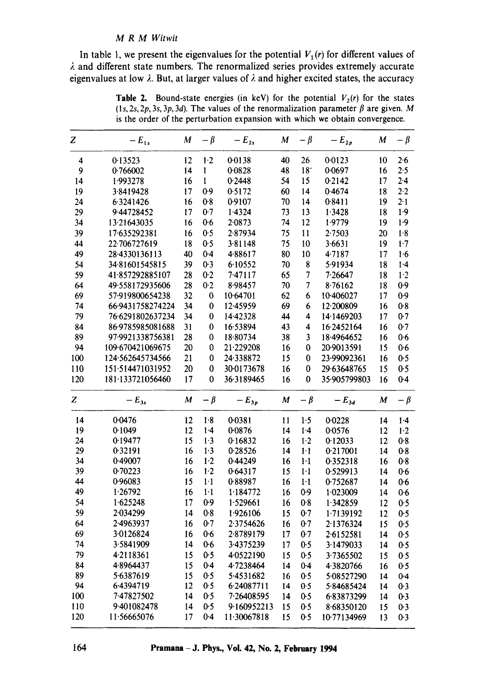#### *M R M Witwit*

In table 1, we present the eigenvalues for the potential  $V_1(r)$  for different values of  $\lambda$  and different state numbers. The renormalized series provides extremely accurate eigenvalues at low  $\lambda$ . But, at larger values of  $\lambda$  and higher excited states, the accuracy

**Table 2.** Bound-state energies (in keV) for the potential  $V_2(r)$  for the states (1s, 2s, 2p, 3s, 3p, 3d). The values of the renormalization parameter  $\beta$  are given. M is the order of the perturbation expansion with which we obtain convergence.

| Z   | $-E_{1s}$        | M  | $-\beta$ | $-E_{2s}$   | M  | $-\beta$        | $-E_{2p}$    | M                | $-\beta$ |
|-----|------------------|----|----------|-------------|----|-----------------|--------------|------------------|----------|
| 4   | 0.13523          | 12 | $1-2$    | 0.0138      | 40 | 26              | 0.0123       | 10               | 2.6      |
| 9   | 0.766002         | 14 | 1        | 0.0828      | 48 | 18 <sup>2</sup> | 0.0697       | 16               | 2.5      |
| 14  | 1.993278         | 16 | 1        | 0.2448      | 54 | 15              | 0.2142       | 17               | 2.4      |
| 19  | 3.8419428        | 17 | 0.9      | 0.5172      | 60 | 14              | 0.4674       | 18               | $2-2$    |
| 24  | 6.3241426        | 16 | 0.8      | 0.9107      | 70 | 14              | 0.8411       | 19               | 2.1      |
| 29  | 9.44728452       | 17 | 0.7      | 1.4324      | 73 | 13              | 1.3428       | 18               | 1.9      |
| 34  | 13.21643035      | 16 | 0.6      | 2.0873      | 74 | 12              | 1.9779       | 19               | 1.9      |
| 39  | 17.635292381     | 16 | 0.5      | 2.87934     | 75 | 11              | 2.7503       | 20               | 1.8      |
| 44  | 22.706727619     | 18 | 0.5      | 3.81148     | 75 | 10              | 3.6631       | 19               | 1.7      |
| 49  | 28.4330136113    | 40 | $0-4$    | 4.88617     | 80 | 10              | 4.7187       | 17               | 1.6      |
| 54  | 3481601545815    | 39 | 0.3      | 6.10552     | 70 | 8               | 5.91934      | 18               | $1-4$    |
| 59  | 41.857292885107  | 28 | 0.2      | 7.47117     | 65 | $\overline{7}$  | 7.26647      | 18               | 1.2      |
| 64  | 49.558172935606  | 28 | 0.2      | 8.98457     | 70 | $\overline{7}$  | 8.76162      | 18               | 0.9      |
| 69  | 57-919800654238  | 32 | 0        | 10.64701    | 62 | 6               | 10.406027    | 17               | 0.9      |
| 74  | 66.9431758274224 | 34 | 0        | 12.45959    | 69 | 6               | 12.200809    | 16               | 0.8      |
| 79  | 76.6291802637234 | 34 | 0        | 14.42328    | 44 | 4               | 14.1469203   | 17               | 0.7      |
| 84  | 86.9785985081688 | 31 | 0        | 16.53894    | 43 | 4               | 16.2452164   | 16               | 0.7      |
| 89  | 97.9921338756381 | 28 | 0        | 18.80734    | 38 | 3               | 18.4964652   | 16               | 0.6      |
| 94  | 109.670421069675 | 20 | 0        | 21.229208   | 16 | 0               | 20.9013591   | 15               | 0.6      |
| 100 | 124.562645734566 | 21 | 0        | 24.338872   | 15 | 0               | 23.99092361  | 16               | 0.5      |
| 110 | 151.514471031952 | 20 | 0        | 30-0173678  | 16 | 0               | 29.63648765  | 15               | 0.5      |
| 120 | 181.133721056460 | 17 | 0        | 36.3189465  | 16 | 0               | 35.905799803 | 16               | 0.4      |
| Z   | $-E_{3s}$        | M  | $-\beta$ | $-E_{3p}$   | M  | $-\beta$        | $-E_{3d}$    | $\boldsymbol{M}$ | $-\beta$ |
| 14  | 0.0476           | 12 | 1.8      | 0.0381      | 11 | $1.5$           | 0.0228       | 14               | $1-4$    |
| 19  | 0.1049           | 12 | $1-4$    | 0.0876      | 14 | 1.4             | 0.0576       | 12               | $1-2$    |
| 24  | 0.19477          | 15 | 1.3      | 0.16832     | 16 | $1-2$           | 0.12033      | 12               | 0.8      |
| 29  | 0.32191          | 16 | 1.3      | 0.28526     | 14 | $1-1$           | 0.217001     | 14               | 0.8      |
| 34  | 0.49007          | 16 | $1-2$    | 0.44249     | 16 | $1-1$           | 0.352318     | 16               | 0.8      |
| 39  | 0.70223          | 16 | $1-2$    | 0.64317     | 15 | $1-1$           | 0.529913     | 14               | 0.6      |
| 44  | 0.96083          | 15 | $1-1$    | 0.88987     | 16 | $1-1$           | 0.752687     | 14               | 0.6      |
| 49  | 1.26792          | 16 | $1-1$    | 1.184772    | 16 | 0.9             | 1.023009     | 14               | 0.6      |
| 54  | 1.625248         | 17 | 0.9      | 1.529661    | 16 | 0.8             | 1.342859     | 12               | 0.5      |
| 59  | 2.034299         | 14 | 0.8      | 1.926106    | 15 | 0.7             | 1.7139192    | 12               | 0.5      |
| 64  | 2.4963937        | 16 | 0.7      | 2.3754626   | 16 | 0.7             | 2.1376324    | 15               | 0.5      |
| 69  | 3.0126824        | 16 | 0.6      | 2.8789179   | 17 | 0.7             | 2.6152581    | 14               | 0.5      |
| 74  | 3.5841909        | 14 | 0.6      | 3.4375239   | 17 | 0.5             | 3.1479033    | 14               | 0.5      |
| 79  | 4.2118361        | 15 | 0.5      | 4.0522190   | 15 | 0.5             | 3.7365502    | 15               | 0.5      |
| 84  | 4.8964437        | 15 | $0-4$    | 4.7238464   | 14 | $0 - 4$         | 4.3820766    | 16               | 0.5      |
| 89  | 5.6387619        | 15 | 0.5      | 5.4531682   | 16 | 0.5             | 5.08527290   | 14               | $0 - 4$  |
| 94  | 6.4394719        | 12 | 0.5      | 6.24087711  | 14 | 0.5             | 5.84685424   | 14               | 0.3      |
| 100 | 7.47827502       | 14 | 0.5      | 7.26408595  | 14 | 0.5             | 6.83873299   | 14               | 0.3      |
| 110 | 9.401082478      | 14 | 0.5      | 9.160952213 | 15 | 0.5             | 8.68350120   | 15               | 0.3      |
| 120 | 11.56665076      | 17 | 0.4      | 11.30067818 | 15 | 0.5             | 10.77134969  | 13               | 0.3      |